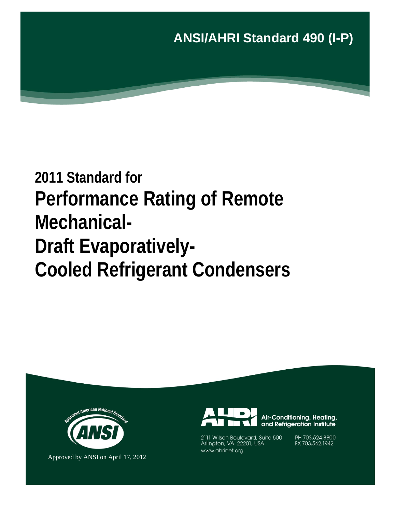

# **2011 Standard for Performance Rating of Remote Mechanical-Draft Evaporatively-Cooled Refrigerant Condensers**



Approved by ANSI on April 17, 2012



Air-Conditioning, Heating, and Refrigeration Institute

2111 Wilson Boulevard, Suite 500 Arlington, VA 22201, USA www.ahrinet.org

PH 703.524.8800 FX 703.562.1942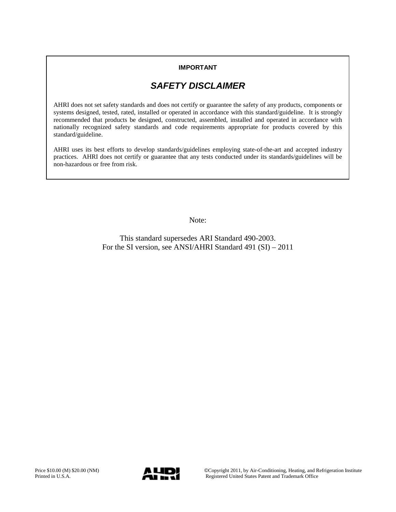### **IMPORTANT**

# *SAFETY DISCLAIMER*

AHRI does not set safety standards and does not certify or guarantee the safety of any products, components or systems designed, tested, rated, installed or operated in accordance with this standard/guideline. It is strongly recommended that products be designed, constructed, assembled, installed and operated in accordance with nationally recognized safety standards and code requirements appropriate for products covered by this standard/guideline.

AHRI uses its best efforts to develop standards/guidelines employing state-of-the-art and accepted industry practices. AHRI does not certify or guarantee that any tests conducted under its standards/guidelines will be non-hazardous or free from risk.

Note:

This standard supersedes ARI Standard 490-2003. For the SI version, see ANSI/AHRI Standard 491 (SI) – 2011

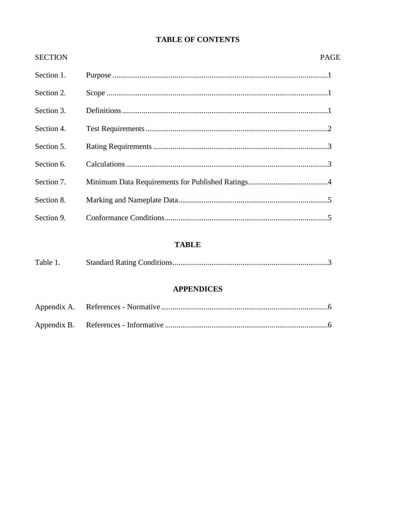### **TABLE OF CONTENTS**

| <b>SECTION</b> | <b>PAGE</b> |
|----------------|-------------|
| Section 1.     |             |
| Section 2.     |             |
| Section 3.     |             |
| Section 4.     |             |
| Section 5.     |             |
| Section 6.     |             |
| Section 7.     |             |
| Section 8.     |             |
| Section 9.     |             |

## **TABLE**

| Table 1. |  |
|----------|--|
|          |  |

### **APPENDICES**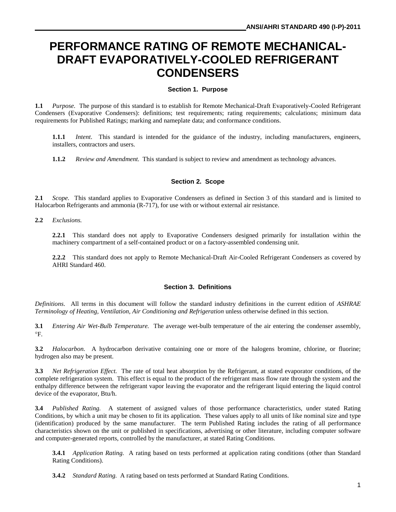# **PERFORMANCE RATING OF REMOTE MECHANICAL-DRAFT EVAPORATIVELY-COOLED REFRIGERANT CONDENSERS**

#### **Section 1. Purpose**

**1.1** *Purpose.* The purpose of this standard is to establish for Remote Mechanical-Draft Evaporatively-Cooled Refrigerant Condensers (Evaporative Condensers): definitions; test requirements; rating requirements; calculations; minimum data requirements for Published Ratings; marking and nameplate data; and conformance conditions.

**1.1.1** *Intent*. This standard is intended for the guidance of the industry, including manufacturers, engineers, installers, contractors and users.

**1.1.2** *Review and Amendment.* This standard is subject to review and amendment as technology advances.

#### **Section 2. Scope**

**2.1** *Scope.*This standard applies to Evaporative Condensers as defined in Section 3 of this standard and is limited to Halocarbon Refrigerants and ammonia (R-717), for use with or without external air resistance.

**2.2** *Exclusions.*

**2.2.1** This standard does not apply to Evaporative Condensers designed primarily for installation within the machinery compartment of a self-contained product or on a factory-assembled condensing unit.

**2.2.2** This standard does not apply to Remote Mechanical-Draft Air-Cooled Refrigerant Condensers as covered by AHRI Standard 460.

#### **Section 3. Definitions**

*Definitions*. All terms in this document will follow the standard industry definitions in the current edition of *ASHRAE Terminology of Heating, Ventilation, Air Conditioning and Refrigeration* unless otherwise defined in this section.

**3.1** *Entering Air Wet-Bulb Temperature.* The average wet-bulb temperature of the air entering the condenser assembly, °F.

**3.2** *Halocarbon.* A hydrocarbon derivative containing one or more of the halogens bromine, chlorine, or fluorine; hydrogen also may be present.

**3.3** *Net Refrigeration Effect.* The rate of total heat absorption by the Refrigerant, at stated evaporator conditions, of the complete refrigeration system. This effect is equal to the product of the refrigerant mass flow rate through the system and the enthalpy difference between the refrigerant vapor leaving the evaporator and the refrigerant liquid entering the liquid control device of the evaporator, Btu/h.

**3.4** *Published Rating.* A statement of assigned values of those performance characteristics, under stated Rating Conditions, by which a unit may be chosen to fit its application. These values apply to all units of like nominal size and type (identification) produced by the same manufacturer. The term Published Rating includes the rating of all performance characteristics shown on the unit or published in specifications, advertising or other literature, including computer software and computer-generated reports, controlled by the manufacturer, at stated Rating Conditions.

**3.4.1** *Application Rating.* A rating based on tests performed at application rating conditions (other than Standard Rating Conditions).

**3.4.2** *Standard Rating.* A rating based on tests performed at Standard Rating Conditions.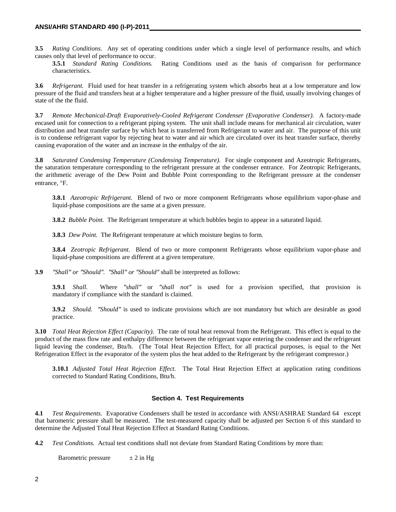**3.5** *Rating Conditions.* Any set of operating conditions under which a single level of performance results, and which causes only that level of performance to occur.

**3.5.1** *Standard Rating Conditions.* Rating Conditions used as the basis of comparison for performance characteristics.

**3.6** *Refrigerant.* Fluid used for heat transfer in a refrigerating system which absorbs heat at a low temperature and low pressure of the fluid and transfers heat at a higher temperature and a higher pressure of the fluid, usually involving changes of state of the the fluid.

**3.7** *Remote Mechanical-Draft Evaporatively-Cooled Refrigerant Condenser (Evaporative Condenser).* A factory-made encased unit for connection to a refrigerant piping system. The unit shall include means for mechanical air circulation, water distribution and heat transfer surface by which heat is transferred from Refrigerant to water and air. The purpose of this unit is to condense refrigerant vapor by rejecting heat to water and air which are circulated over its heat transfer surface, thereby causing evaporation of the water and an increase in the enthalpy of the air.

**3.8** *Saturated Condensing Temperature (Condensing Temperature).* For single component and Azeotropic Refrigerants, the saturation temperature corresponding to the refrigerant pressure at the condenser entrance. For Zeotropic Refrigerants, the arithmetic average of the Dew Point and Bubble Point corresponding to the Refrigerant pressure at the condenser entrance, °F.

**3.8.1** *Azeotropic Refrigerant.* Blend of two or more component Refrigerants whose equilibrium vapor-phase and liquid-phase compositions are the same at a given pressure.

**3.8.2** *Bubble Point.* The Refrigerant temperature at which bubbles begin to appear in a saturated liquid.

**3.8.3** *Dew Point.* The Refrigerant temperature at which moisture begins to form.

**3.8.4** *Zeotropic Refrigerant*. Blend of two or more component Refrigerants whose equilibrium vapor-phase and liquid-phase compositions are different at a given temperature.

**3.9** *″Shall″ or ″Should″. ″Shall″ or ″Should″* shall be interpreted as follows:

**3.9.1** *Shall.* Where *″shall″* or *″shall not″* is used for a provision specified, that provision is mandatory if compliance with the standard is claimed.

**3.9.2** *Should. ″Should″* is used to indicate provisions which are not mandatory but which are desirable as good practice.

**3.10** *Total Heat Rejection Effect (Capacity).* The rate of total heat removal from the Refrigerant. This effect is equal to the product of the mass flow rate and enthalpy difference between the refrigerant vapor entering the condenser and the refrigerant liquid leaving the condenser, Btu/h. (The Total Heat Rejection Effect, for all practical purposes, is equal to the Net Refrigeration Effect in the evaporator of the system plus the heat added to the Refrigerant by the refrigerant compressor.)

**3.10.1** *Adjusted Total Heat Rejection Effect.* The Total Heat Rejection Effect at application rating conditions corrected to Standard Rating Conditions, Btu/h.

#### **Section 4. Test Requirements**

**4.1** *Test Requirements.* Evaporative Condensers shall be tested in accordance with ANSI/ASHRAE Standard 64 except that barometric pressure shall be measured. The test-measured capacity shall be adjusted per Section 6 of this standard to determine the Adjusted Total Heat Rejection Effect at Standard Rating Conditions.

**4.2** *Test Conditions.* Actual test conditions shall not deviate from Standard Rating Conditions by more than:

Barometric pressure  $\pm 2$  in Hg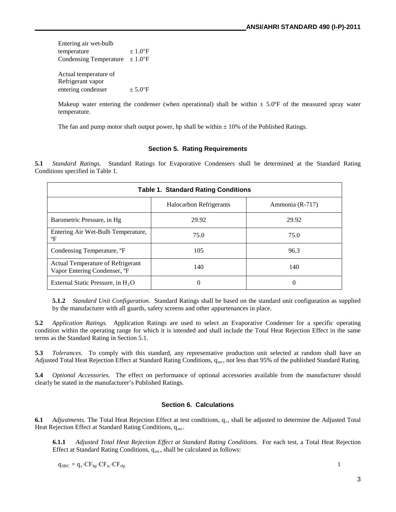Entering air wet-bulb temperature  $\pm 1.0^{\circ}$ F Condensing Temperature  $\pm 1.0^{\circ}$ F Actual temperature of Refrigerant vapor entering condenser  $\pm 5.0^{\circ}$ F

Makeup water entering the condenser (when operational) shall be within  $\pm 5.0^{\circ}$  F of the measured spray water temperature.

The fan and pump motor shaft output power, hp shall be within  $\pm$  10% of the Published Ratings.

#### **Section 5. Rating Requirements**

**5.1** *Standard Ratings.* Standard Ratings for Evaporative Condensers shall be determined at the Standard Rating Conditions specified in Table 1.

| <b>Table 1. Standard Rating Conditions</b>                        |                                |                 |  |  |
|-------------------------------------------------------------------|--------------------------------|-----------------|--|--|
|                                                                   | <b>Halocarbon Refrigerants</b> | Ammonia (R-717) |  |  |
| Barometric Pressure, in Hg                                        | 29.92                          | 29.92           |  |  |
| Entering Air Wet-Bulb Temperature,<br>°F                          | 75.0                           | 75.0            |  |  |
| Condensing Temperature, <sup>o</sup> F                            | 105                            | 96.3            |  |  |
| Actual Temperature of Refrigerant<br>Vapor Entering Condenser, °F | 140                            | 140             |  |  |
| External Static Pressure, in $H_2O$                               | 0                              | $\theta$        |  |  |

**5.1.2** *Standard Unit Configuration.* Standard Ratings shall be based on the standard unit configuration as supplied by the manufacturer with all guards, safety screens and other appurtenances in place.

**5.2** *Application Ratings.* Application Ratings are used to select an Evaporative Condenser for a specific operating condition within the operating range for which it is intended and shall include the Total Heat Rejection Effect in the same terms as the Standard Rating in Section 5.1.

**5.3** *Tolerances.* To comply with this standard, any representative production unit selected at random shall have an Adjusted Total Heat Rejection Effect at Standard Rating Conditions,  $q_{src}$ , not less than 95% of the published Standard Rating.

**5.4** *Optional Accessories.* The effect on performance of optional accessories available from the manufacturer should clearly be stated in the manufacturer's Published Ratings.

#### **Section 6. Calculations**

**6.1** *Adjustments*. The Total Heat Rejection Effect at test conditions, q<sub>c</sub>, shall be adjusted to determine the Adjusted Total Heat Rejection Effect at Standard Rating Conditions, qsrc.

**6.1.1** *Adjusted Total Heat Rejection Effect at Standard Rating Conditions.* For each test, a Total Heat Rejection Effect at Standard Rating Conditions,  $q_{src}$ , shall be calculated as follows:

 $q_{SRC} = q_c \cdot CF_{tp} \cdot CF_{tc} \cdot CF_{tfp}$  1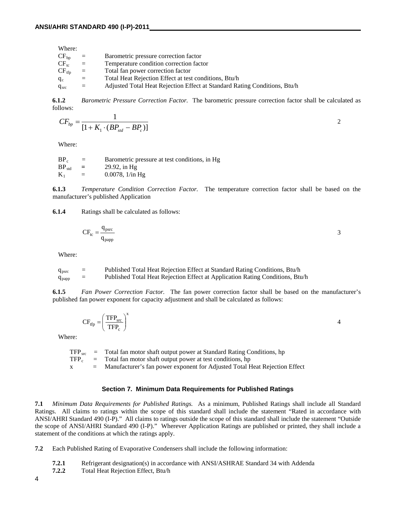| Where:     |     |                                                                           |
|------------|-----|---------------------------------------------------------------------------|
| $CF_{bp}$  | $=$ | Barometric pressure correction factor                                     |
| $CF_{tc}$  | $=$ | Temperature condition correction factor                                   |
| $CF_{tfp}$ | $=$ | Total fan power correction factor                                         |
| $q_c$      | $=$ | Total Heat Rejection Effect at test conditions, Btu/h                     |
| $q_{src}$  | $=$ | Adjusted Total Heat Rejection Effect at Standard Rating Conditions, Btu/h |

**6.1.2** *Barometric Pressure Correction Factor.* The barometric pressure correction factor shall be calculated as follows:

$$
CF_{bp} = \frac{1}{[1 + K_1 \cdot (BP_{std} - BP_c)]}
$$

Where:

 $BP_c$  = Barometric pressure at test conditions, in Hg<br>BP<sub>std</sub> = 29.92, in Hg BP<sub>std</sub> = 29.92, in Hg<br>K<sub>1</sub> = 0.0078, 1/in l  $= 0.0078, 1/in Hg$ 

**6.1.3** *Temperature Condition Correction Factor.*The temperature correction factor shall be based on the manufacturer's published Application

**6.1.4** Ratings shall be calculated as follows:

$$
CF_{tc} = \frac{q_{psrc}}{q_{papp}} \tag{3}
$$

Where:

| $q_{psrc}$ | $=$ | Published Total Heat Rejection Effect at Standard Rating Conditions, Btu/h    |
|------------|-----|-------------------------------------------------------------------------------|
| $q_{papp}$ | $=$ | Published Total Heat Rejection Effect at Application Rating Conditions, Btu/h |

**6.1.5** *Fan Power Correction Factor.* The fan power correction factor shall be based on the manufacturer's published fan power exponent for capacity adjustment and shall be calculated as follows:

$$
CF_{\rm frp} = \left(\frac{\rm TFP_{\rm src}}{\rm TFP_{\rm c}}\right)^{\rm x}
$$

Where:

\n
$$
\text{TFP}_{src} = \text{Total fan motor shaft output power at Standard Rating Conditions, hp}
$$
\n

\n\n $\text{TFP}_c = \text{Total fan motor shaft output power at test conditions, hp}$ \n

\n\n $\text{x} = \text{Mannifacturer's fan power exponent for Adjusted Total Heat Rejection Effect}$ \n

#### **Section 7. Minimum Data Requirements for Published Ratings**

**7.1** *Minimum Data Requirements for Published Ratings.* As a minimum, Published Ratings shall include all Standard Ratings. All claims to ratings within the scope of this standard shall include the statement "Rated in accordance with ANSI/AHRI Standard 490 (I-P)." All claims to ratings outside the scope of this standard shall include the statement "Outside the scope of ANSI/AHRI Standard 490 (I-P)." Wherever Application Ratings are published or printed, they shall include a statement of the conditions at which the ratings apply.

**7.2** Each Published Rating of Evaporative Condensers shall include the following information:

- **7.2.1** Refrigerant designation(s) in accordance with ANSI/ASHRAE Standard 34 with Addenda<br>**7.2.2** Total Heat Rejection Effect. Btu/h
- **7.2.2** Total Heat Rejection Effect, Btu/h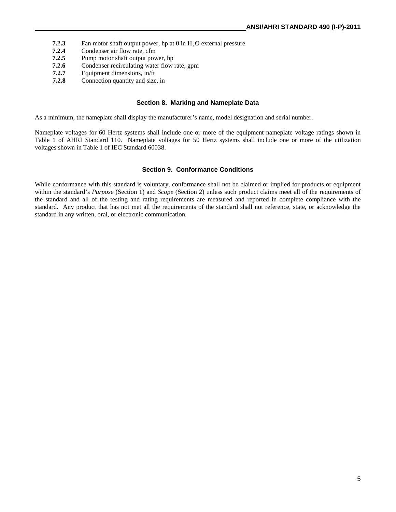- **7.2.3** Fan motor shaft output power, hp at 0 in H<sub>2</sub>O external pressure<br>**7.2.4** Condenser air flow rate, cfm
- **7.2.4** Condenser air flow rate, cfm<br>**7.2.5** Pump motor shaft output poy
- **7.2.5** Pump motor shaft output power, hp
- **7.2.6** Condenser recirculating water flow rate, gpm
- **7.2.7** Equipment dimensions, in/ft
- **7.2.8** Connection quantity and size, in

#### **Section 8. Marking and Nameplate Data**

As a minimum, the nameplate shall display the manufacturer's name, model designation and serial number.

Nameplate voltages for 60 Hertz systems shall include one or more of the equipment nameplate voltage ratings shown in Table 1 of AHRI Standard 110. Nameplate voltages for 50 Hertz systems shall include one or more of the utilization voltages shown in Table 1 of IEC Standard 60038.

#### **Section 9. Conformance Conditions**

While conformance with this standard is voluntary, conformance shall not be claimed or implied for products or equipment within the standard's *Purpose* (Section 1) and *Scope* (Section 2) unless such product claims meet all of the requirements of the standard and all of the testing and rating requirements are measured and reported in complete compliance with the standard. Any product that has not met all the requirements of the standard shall not reference, state, or acknowledge the standard in any written, oral, or electronic communication.